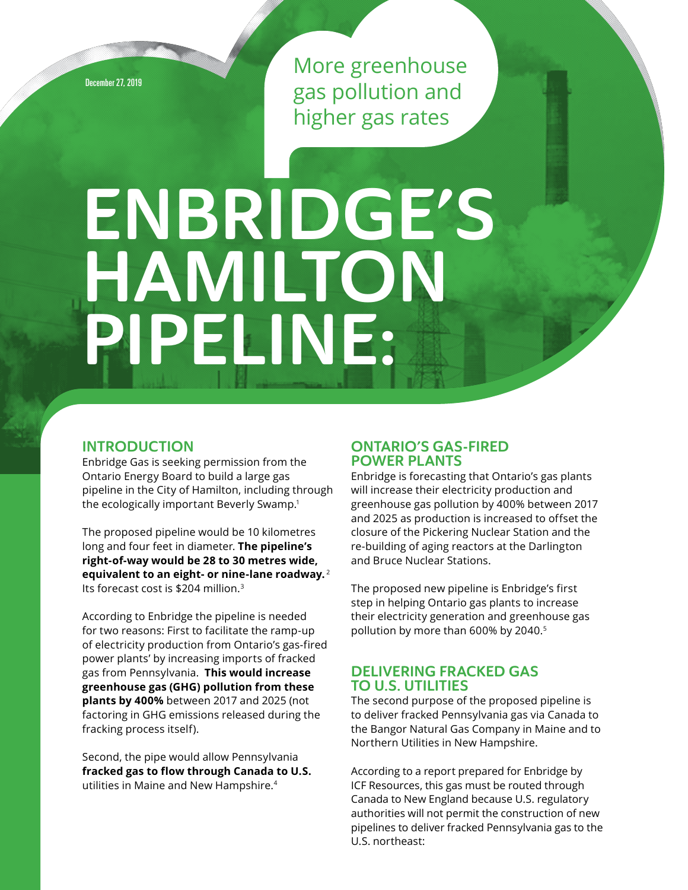December 27, 2019

More greenhouse gas pollution and higher gas rates

# ENBRIDGE'S Hamilton Pipeline:

# **INTRODUCTION**

Enbridge Gas is seeking permission from the Ontario Energy Board to build a large gas pipeline in the City of Hamilton, including through the ecologically important Beverly Swamp.<sup>1</sup>

The proposed pipeline would be 10 kilometres long and four feet in diameter. **The pipeline's right-of-way would be 28 to 30 metres wide, equivalent to an eight- or nine-lane roadway.**<sup>2</sup> Its forecast cost is \$204 million.<sup>3</sup>

According to Enbridge the pipeline is needed for two reasons: First to facilitate the ramp-up of electricity production from Ontario's gas-fired power plants' by increasing imports of fracked gas from Pennsylvania. **This would increase greenhouse gas (GHG) pollution from these plants by 400%** between 2017 and 2025 (not factoring in GHG emissions released during the fracking process itself).

Second, the pipe would allow Pennsylvania **fracked gas to flow through Canada to U.S.**  utilities in Maine and New Hampshire.<sup>4</sup>

# Ontario's Gas-Fired Power Plants

Enbridge is forecasting that Ontario's gas plants will increase their electricity production and greenhouse gas pollution by 400% between 2017 and 2025 as production is increased to offset the closure of the Pickering Nuclear Station and the re-building of aging reactors at the Darlington and Bruce Nuclear Stations.

The proposed new pipeline is Enbridge's first step in helping Ontario gas plants to increase their electricity generation and greenhouse gas pollution by more than 600% by 2040.5

# Delivering Fracked Gas to U.S. Utilities

The second purpose of the proposed pipeline is to deliver fracked Pennsylvania gas via Canada to the Bangor Natural Gas Company in Maine and to Northern Utilities in New Hampshire.

According to a report prepared for Enbridge by ICF Resources, this gas must be routed through Canada to New England because U.S. regulatory authorities will not permit the construction of new pipelines to deliver fracked Pennsylvania gas to the U.S. northeast: